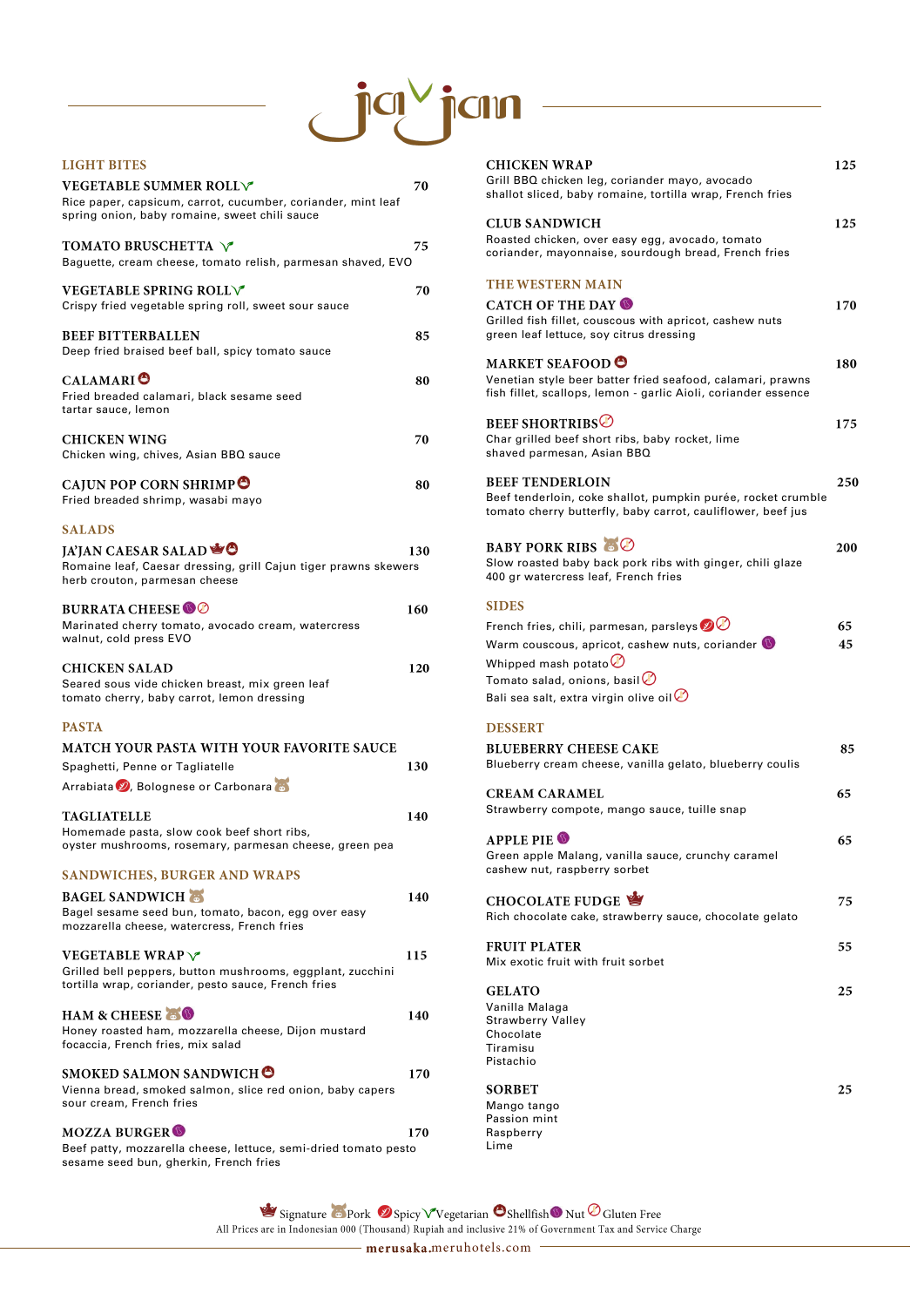# $\bigcup^{\hspace{-3.1mm}|\hspace{.04cm}]} {\mathbb Q}^{\vee}$ icin

| LIGHT BITES                                                                                                                                                        |     |
|--------------------------------------------------------------------------------------------------------------------------------------------------------------------|-----|
| <b>VEGETABLE SUMMER ROLLV</b><br>Rice paper, capsicum, carrot, cucumber, coriander, mint leaf<br>spring onion, baby romaine, sweet chili sauce                     | 70  |
| <b>TOMATO BRUSCHETTA V</b><br>Baguette, cream cheese, tomato relish, parmesan shaved, EVO                                                                          | 75  |
| <b>VEGETABLE SPRING ROLLV</b><br>Crispy fried vegetable spring roll, sweet sour sauce                                                                              | 70  |
| <b>BEEF BITTERBALLEN</b><br>Deep fried braised beef ball, spicy tomato sauce                                                                                       | 85  |
| <b>CALAMARIO</b><br>Fried breaded calamari, black sesame seed<br>tartar sauce, lemon                                                                               | 80  |
| <b>CHICKEN WING</b><br>Chicken wing, chives, Asian BBQ sauce                                                                                                       | 70  |
| CAJUN POP CORN SHRIMP<br>Fried breaded shrimp, wasabi mayo                                                                                                         | 80  |
| <b>SALADS</b><br>JA'JAN CAESAR SALAD<br>Romaine leaf, Caesar dressing, grill Cajun tiger prawns skewers<br>herb crouton, parmesan cheese                           | 130 |
| <b>BURRATA CHEESE OO</b><br>Marinated cherry tomato, avocado cream, watercress<br>walnut, cold press EVO                                                           | 160 |
| <b>CHICKEN SALAD</b><br>Seared sous vide chicken breast, mix green leaf<br>tomato cherry, baby carrot, lemon dressing                                              | 120 |
| <b>PASTA</b>                                                                                                                                                       |     |
| <b>MATCH YOUR PASTA WITH YOUR FAVORITE SAUCE</b><br>Spaghetti, Penne or Tagliatelle<br>Arrabiata V, Bolognese or Carbonara                                         | 130 |
| <b>TAGLIATELLE</b><br>Homemade pasta, slow cook beef short ribs,<br>oyster mushrooms, rosemary, parmesan cheese, green pea                                         | 140 |
| <b>SANDWICHES, BURGER AND WRAPS</b><br><b>BAGEL SANDWICH</b><br>Bagel sesame seed bun, tomato, bacon, egg over easy<br>mozzarella cheese, watercress, French fries | 140 |
| <b>VEGETABLE WRAP</b><br>Grilled bell peppers, button mushrooms, eggplant, zucchini                                                                                | 115 |

#### **CHICKEN WRAP** Grill BBQ chicken leg, coriander mayo, avocado shallot sliced, baby romaine, tortilla wrap, French fries **CLUB SANDWICH**

tortilla wrap, coriander, pesto sauce, French fries

#### HAM & CHEESE

Honey roasted ham, mozzarella cheese, Dijon mustard focaccia, French fries, mix salad

#### SMOKED SALMON SANDWICH O

170

140

Vienna bread, smoked salmon, slice red onion, baby capers sour cream, French fries

#### **MOZZA BURGER**

170

Beef patty, mozzarella cheese, lettuce, semi-dried tomato pesto sesame seed bun, gherkin, French fries

**SORBET** Mango tango Passion mint Raspberry Lime

125

125

Signature Pork 9 Spicy V Vegetarian O Shellfish O Nut O Gluten Free

All Prices are in Indonesian 000 (Thousand) Rupiah and inclusive 21% of Government Tax and Service Charge

merusaka.meruhotels.com

Roasted chicken, over easy egg, avocado, tomato coriander, mayonnaise, sourdough bread, French fries

#### THE WESTERN MAIN

| <b>CATCH OF THE DAY OF</b><br>Grilled fish fillet, couscous with apricot, cashew nuts<br>green leaf lettuce, soy citrus dressing                        | 170 |
|---------------------------------------------------------------------------------------------------------------------------------------------------------|-----|
| <b>MARKET SEAFOOD O</b><br>Venetian style beer batter fried seafood, calamari, prawns<br>fish fillet, scallops, lemon - garlic Aioli, coriander essence | 180 |
| <b>BEEF SHORTRIBS</b><br>Char grilled beef short ribs, baby rocket, lime<br>shaved parmesan, Asian BBQ                                                  | 175 |
| <b>BEEF TENDERLOIN</b><br>Beef tenderloin, coke shallot, pumpkin purée, rocket crumble<br>tomato cherry butterfly, baby carrot, cauliflower, beef jus   | 250 |
| <b>BABY PORK RIBS &amp; O</b><br>Slow roasted baby back pork ribs with ginger, chili glaze<br>400 gr watercress leaf, French fries                      | 200 |
| <b>SIDES</b>                                                                                                                                            |     |
| French fries, chili, parmesan, parsleys $\bigcirc \hspace{-3.5mm} \bullet$                                                                              | 65  |
| Warm couscous, apricot, cashew nuts, coriander $\bullet$                                                                                                | 45  |
| Whipped mash potato $\bigcirc$                                                                                                                          |     |
| Tomato salad, onions, basil $\emptyset$                                                                                                                 |     |
| Bali sea salt, extra virgin olive oil $\oslash$                                                                                                         |     |
| <b>DESSERT</b>                                                                                                                                          |     |
| <b>BLUEBERRY CHEESE CAKE</b>                                                                                                                            | 85  |
| Blueberry cream cheese, vanilla gelato, blueberry coulis                                                                                                |     |
| <b>CREAM CARAMEL</b>                                                                                                                                    | 65  |
| Strawberry compote, mango sauce, tuille snap                                                                                                            |     |
|                                                                                                                                                         |     |
| <b>APPLE PIE O</b>                                                                                                                                      | 65  |
| Green apple Malang, vanilla sauce, crunchy caramel<br>cashew nut, raspberry sorbet                                                                      |     |
|                                                                                                                                                         |     |
| CHOCOLATE FUDGE                                                                                                                                         | 75  |
| Rich chocolate cake, strawberry sauce, chocolate gelato                                                                                                 |     |
| <b>FRUIT PLATER</b>                                                                                                                                     | 55  |
| Mix exotic fruit with fruit sorbet                                                                                                                      |     |
| <b>GELATO</b>                                                                                                                                           | 25  |

Strawberry Valley Chocolate Tiramisu Pistachio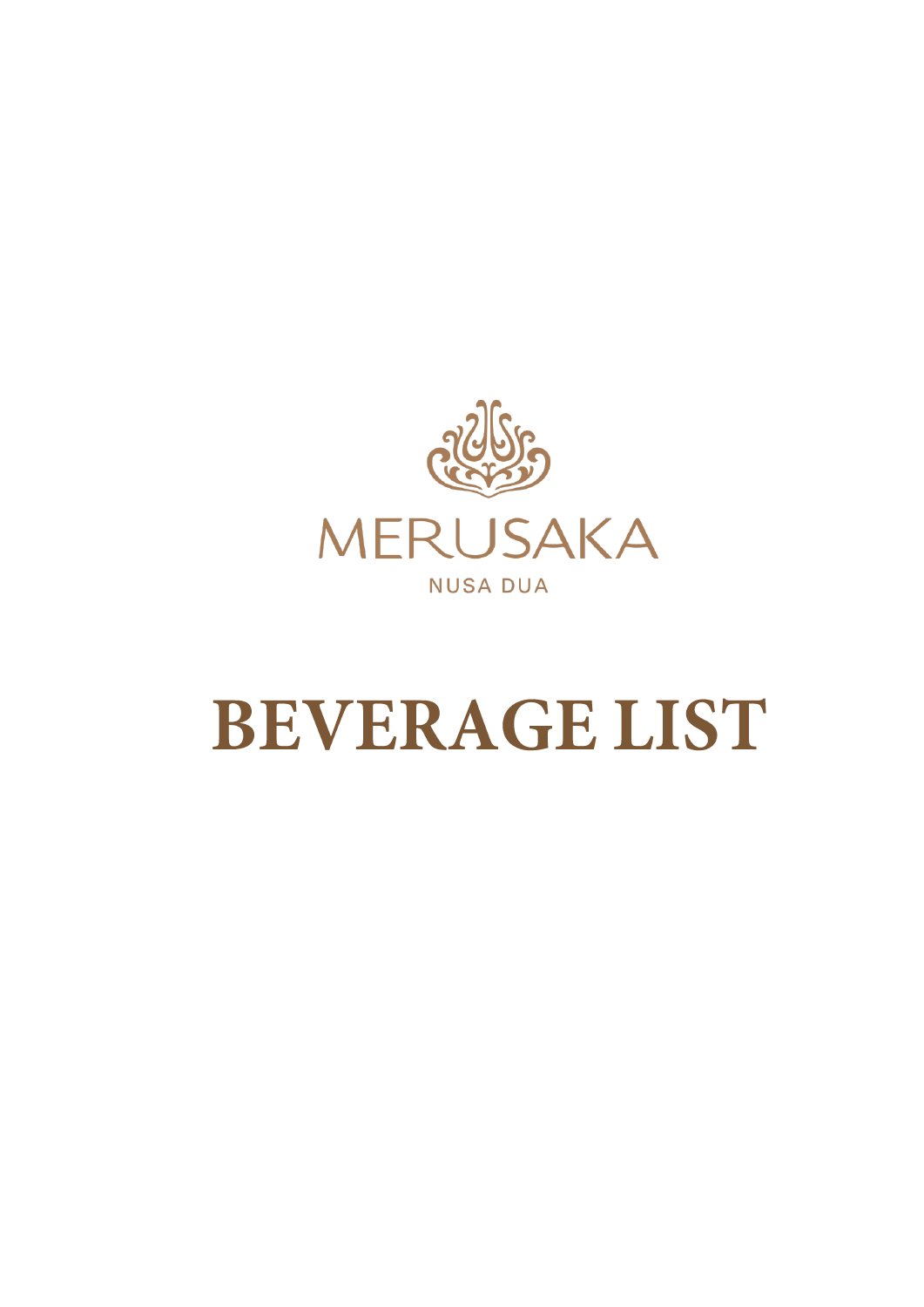

# **BEVERAGE LIST**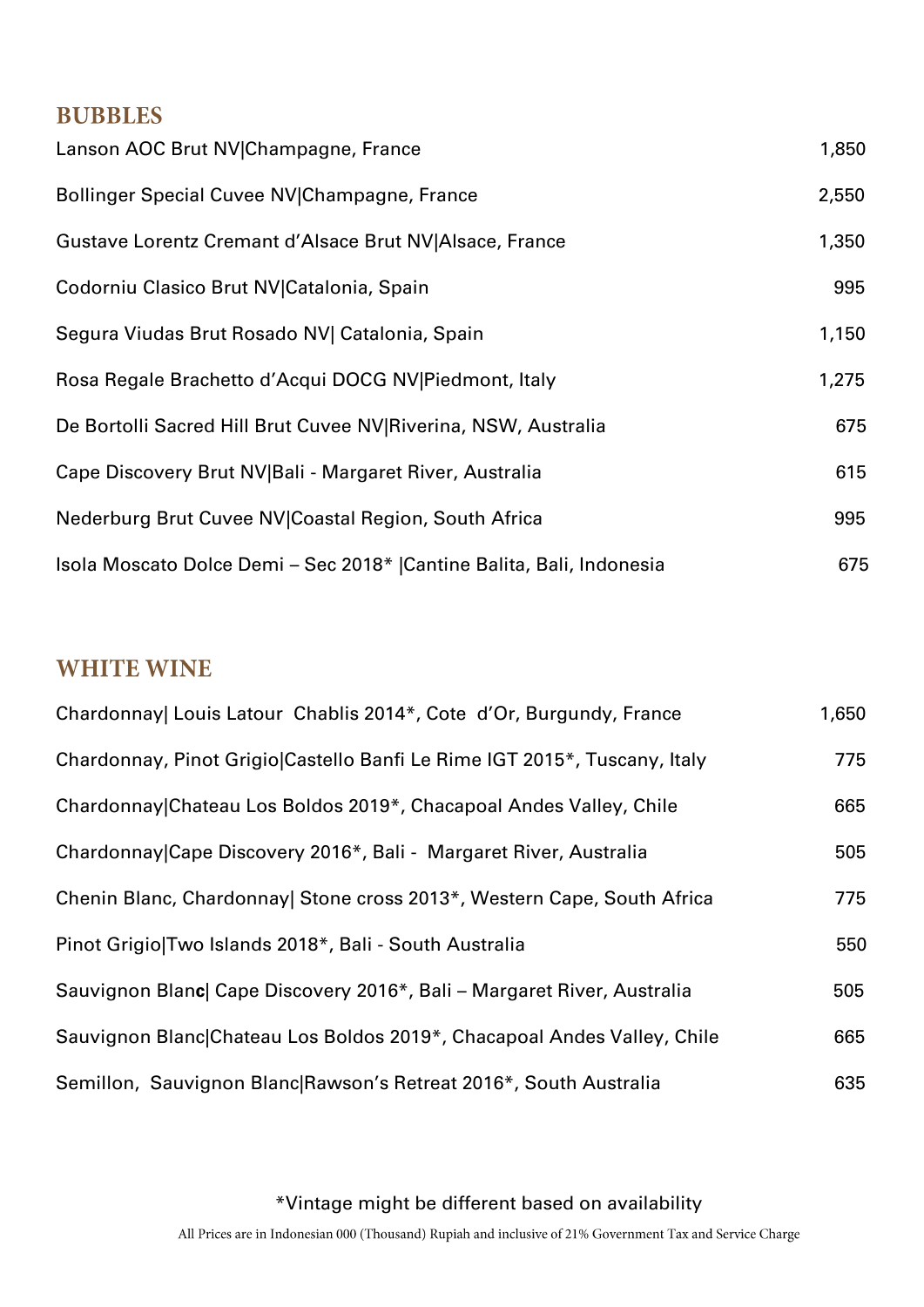### **BUBBLES**

| Lanson AOC Brut NV Champagne, France                                   | 1,850 |
|------------------------------------------------------------------------|-------|
| Bollinger Special Cuvee NV Champagne, France                           | 2,550 |
| Gustave Lorentz Cremant d'Alsace Brut NV Alsace, France                | 1,350 |
| Codorniu Clasico Brut NV Catalonia, Spain                              | 995   |
| Segura Viudas Brut Rosado NV  Catalonia, Spain                         | 1,150 |
| Rosa Regale Brachetto d'Acqui DOCG NV Piedmont, Italy                  | 1,275 |
| De Bortolli Sacred Hill Brut Cuvee NV Riverina, NSW, Australia         | 675   |
| Cape Discovery Brut NV Bali - Margaret River, Australia                | 615   |
| Nederburg Brut Cuvee NV Coastal Region, South Africa                   | 995   |
| Isola Moscato Dolce Demi - Sec 2018*   Cantine Balita, Bali, Indonesia | 675   |

#### **WHITE WINE**

| Chardonnay  Louis Latour Chablis 2014*, Cote d'Or, Burgundy, France       | 1,650 |
|---------------------------------------------------------------------------|-------|
| Chardonnay, Pinot Grigio Castello Banfi Le Rime IGT 2015*, Tuscany, Italy | 775   |
| Chardonnay Chateau Los Boldos 2019*, Chacapoal Andes Valley, Chile        | 665   |
| Chardonnay Cape Discovery 2016*, Bali - Margaret River, Australia         | 505   |
| Chenin Blanc, Chardonnay  Stone cross 2013*, Western Cape, South Africa   | 775   |
| Pinot Grigio Two Islands 2018*, Bali - South Australia                    | 550   |
| Sauvignon Blanc Cape Discovery 2016*, Bali - Margaret River, Australia    | 505   |
| Sauvignon Blanc Chateau Los Boldos 2019*, Chacapoal Andes Valley, Chile   | 665   |
| Semillon, Sauvignon Blanc Rawson's Retreat 2016*, South Australia         | 635   |

\*Vintage might be different based on availability

All Prices are in Indonesian 000 (Thousand) Rupiah and inclusive of 21% Government Tax and Service Charge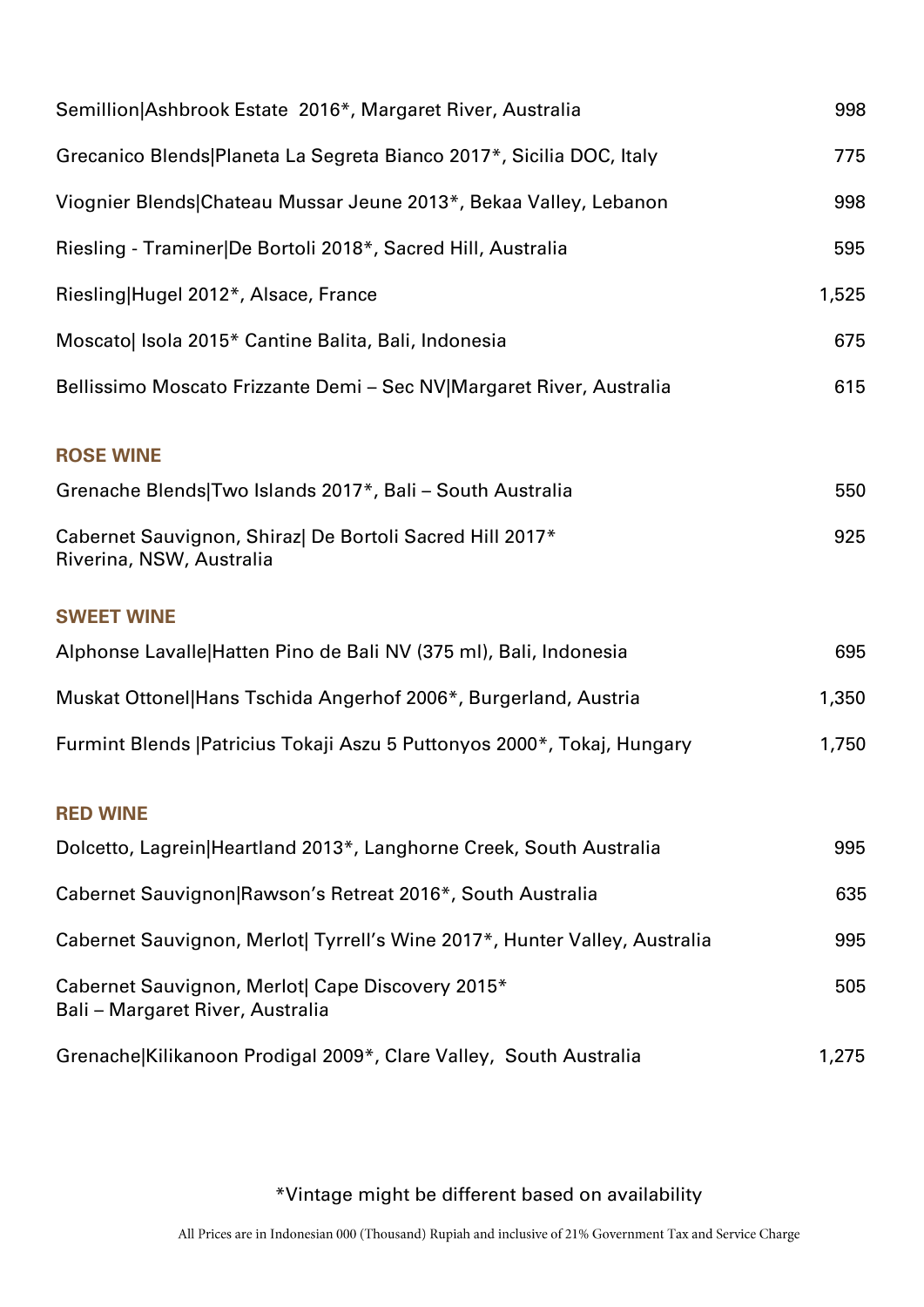| Semillion Ashbrook Estate 2016*, Margaret River, Australia                           | 998   |
|--------------------------------------------------------------------------------------|-------|
| Grecanico Blends Planeta La Segreta Bianco 2017*, Sicilia DOC, Italy                 | 775   |
| Viognier Blends Chateau Mussar Jeune 2013*, Bekaa Valley, Lebanon                    | 998   |
| Riesling - Traminer De Bortoli 2018*, Sacred Hill, Australia                         | 595   |
| Riesling Hugel 2012*, Alsace, France                                                 | 1,525 |
| Moscato  Isola 2015* Cantine Balita, Bali, Indonesia                                 | 675   |
| Bellissimo Moscato Frizzante Demi - Sec NV Margaret River, Australia                 | 615   |
| <b>ROSE WINE</b>                                                                     |       |
| Grenache Blends Two Islands 2017*, Bali - South Australia                            | 550   |
| Cabernet Sauvignon, Shiraz  De Bortoli Sacred Hill 2017*<br>Riverina, NSW, Australia | 925   |
| <b>SWEET WINE</b>                                                                    |       |
| Alphonse Lavalle Hatten Pino de Bali NV (375 ml), Bali, Indonesia                    | 695   |
| Muskat Ottonel Hans Tschida Angerhof 2006*, Burgerland, Austria                      | 1,350 |
| Furmint Blends   Patricius Tokaji Aszu 5 Puttonyos 2000*, Tokaj, Hungary             | 1,750 |
| <b>RED WINE</b>                                                                      |       |
| Dolcetto, Lagrein Heartland 2013*, Langhorne Creek, South Australia                  | 995   |
| Cabernet Sauvignon Rawson's Retreat 2016*, South Australia                           | 635   |
| Cabernet Sauvignon, Merlot  Tyrrell's Wine 2017*, Hunter Valley, Australia           | 995   |
| Cabernet Sauvignon, Merlot  Cape Discovery 2015*<br>Bali - Margaret River, Australia | 505   |
| Grenache Kilikanoon Prodigal 2009*, Clare Valley, South Australia                    | 1,275 |

#### \*Vintage might be different based on availability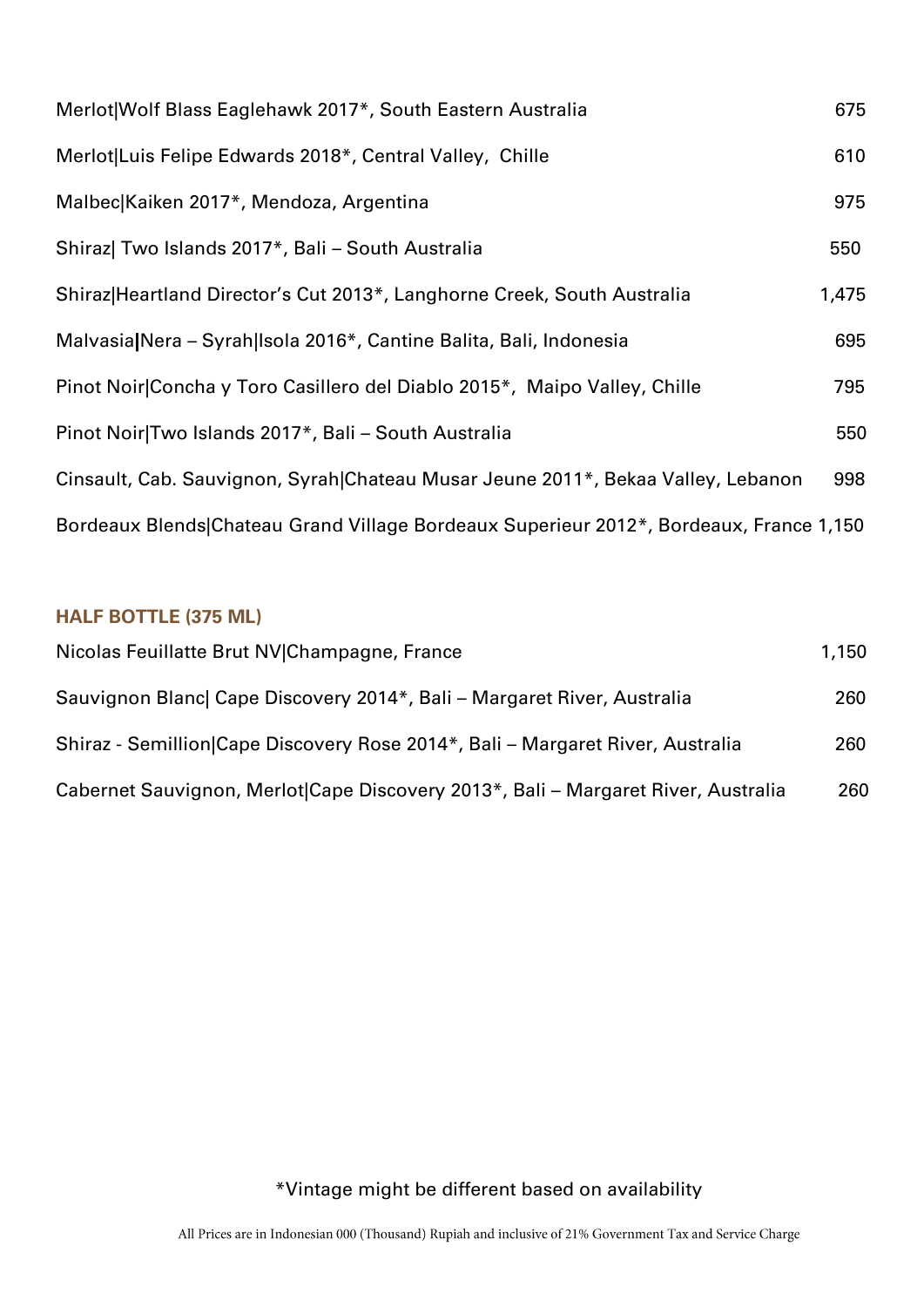| Merlot Wolf Blass Eaglehawk 2017*, South Eastern Australia                             | 675   |
|----------------------------------------------------------------------------------------|-------|
| Merlot Luis Felipe Edwards 2018*, Central Valley, Chille                               | 610   |
| Malbec Kaiken 2017*, Mendoza, Argentina                                                | 975   |
| Shiraz  Two Islands 2017*, Bali - South Australia                                      | 550   |
| Shiraz Heartland Director's Cut 2013*, Langhorne Creek, South Australia                | 1,475 |
| Malvasia Nera - Syrah Isola 2016*, Cantine Balita, Bali, Indonesia                     | 695   |
| Pinot Noir Concha y Toro Casillero del Diablo 2015*, Maipo Valley, Chille              | 795   |
| Pinot Noir Two Islands 2017*, Bali - South Australia                                   | 550   |
| Cinsault, Cab. Sauvignon, Syrah Chateau Musar Jeune 2011*, Bekaa Valley, Lebanon       | 998   |
| Bordeaux Blends Chateau Grand Village Bordeaux Superieur 2012*, Bordeaux, France 1,150 |       |

#### **HALF BOTTLE (375 ML)**

| Nicolas Feuillatte Brut NV Champagne, France                                      | 1,150 |
|-----------------------------------------------------------------------------------|-------|
| Sauvignon Blanc Cape Discovery 2014*, Bali - Margaret River, Australia            | 260   |
| Shiraz - Semillion Cape Discovery Rose 2014*, Bali – Margaret River, Australia    | 260   |
| Cabernet Sauvignon, Merlot Cape Discovery 2013*, Bali – Margaret River, Australia | 260   |

# \*Vintage might be different based on availability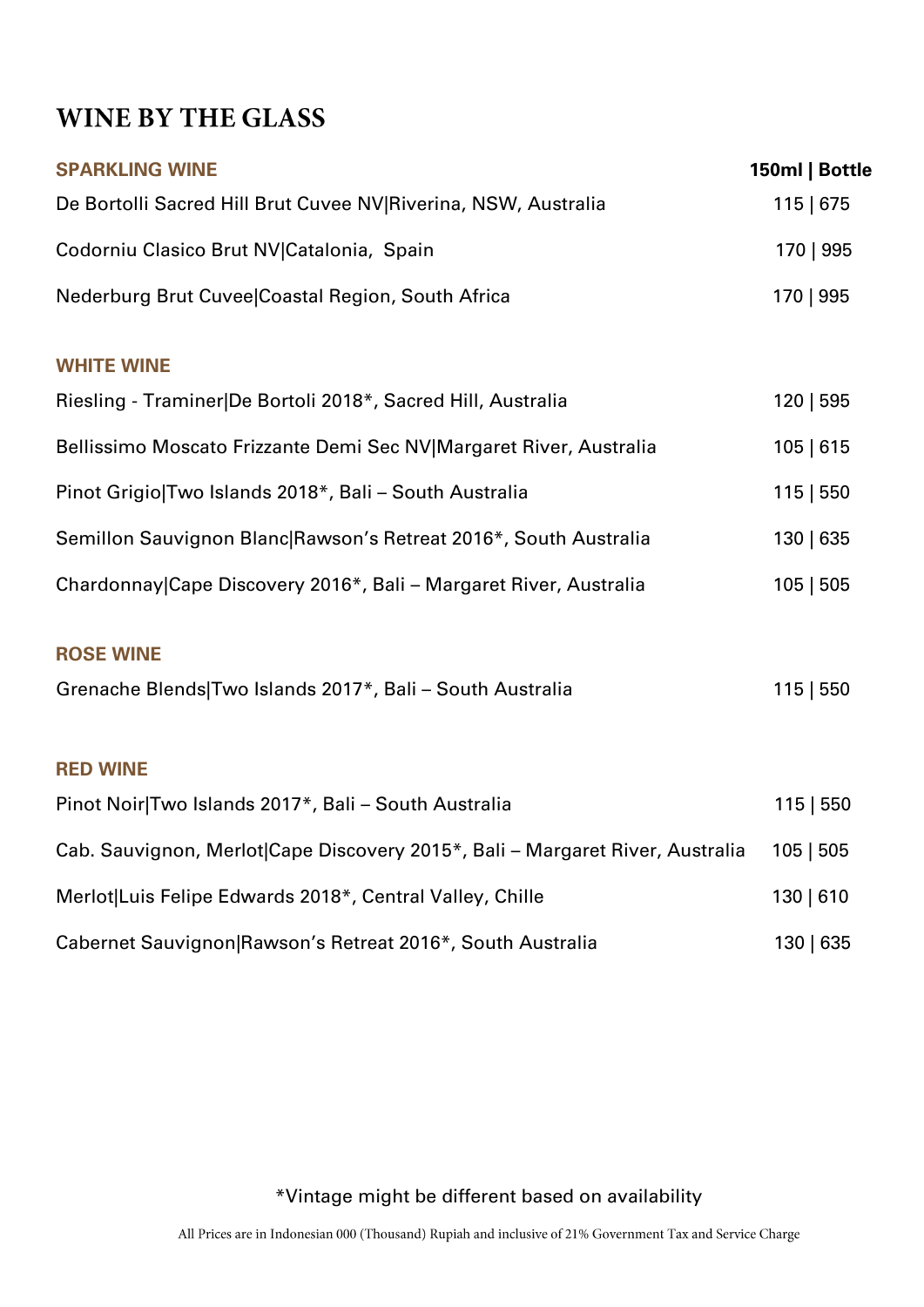# WINE BY THE GLASS

| <b>SPARKLING WINE</b>                                                         | 150ml   Bottle |
|-------------------------------------------------------------------------------|----------------|
| De Bortolli Sacred Hill Brut Cuvee NV Riverina, NSW, Australia                | 115   675      |
| Codorniu Clasico Brut NV Catalonia, Spain                                     | 170   995      |
| Nederburg Brut Cuvee Coastal Region, South Africa                             | 170   995      |
| <b>WHITE WINE</b>                                                             |                |
| Riesling - Traminer De Bortoli 2018*, Sacred Hill, Australia                  | 120   595      |
| Bellissimo Moscato Frizzante Demi Sec NV Margaret River, Australia            | 105   615      |
| Pinot Grigio Two Islands 2018*, Bali - South Australia                        | 115   550      |
| Semillon Sauvignon Blanc Rawson's Retreat 2016*, South Australia              | 130   635      |
| Chardonnay Cape Discovery 2016*, Bali - Margaret River, Australia             | 105   505      |
| <b>ROSE WINE</b>                                                              |                |
| Grenache Blends Two Islands 2017*, Bali - South Australia                     | 115   550      |
| <b>RED WINE</b>                                                               |                |
| Pinot Noir Two Islands 2017*, Bali - South Australia                          | 115   550      |
| Cab. Sauvignon, Merlot Cape Discovery 2015*, Bali - Margaret River, Australia | 105   505      |
| Merlot Luis Felipe Edwards 2018*, Central Valley, Chille                      | 130   610      |
| Cabernet Sauvignon Rawson's Retreat 2016*, South Australia                    | 130   635      |

\*Vintage might be different based on availability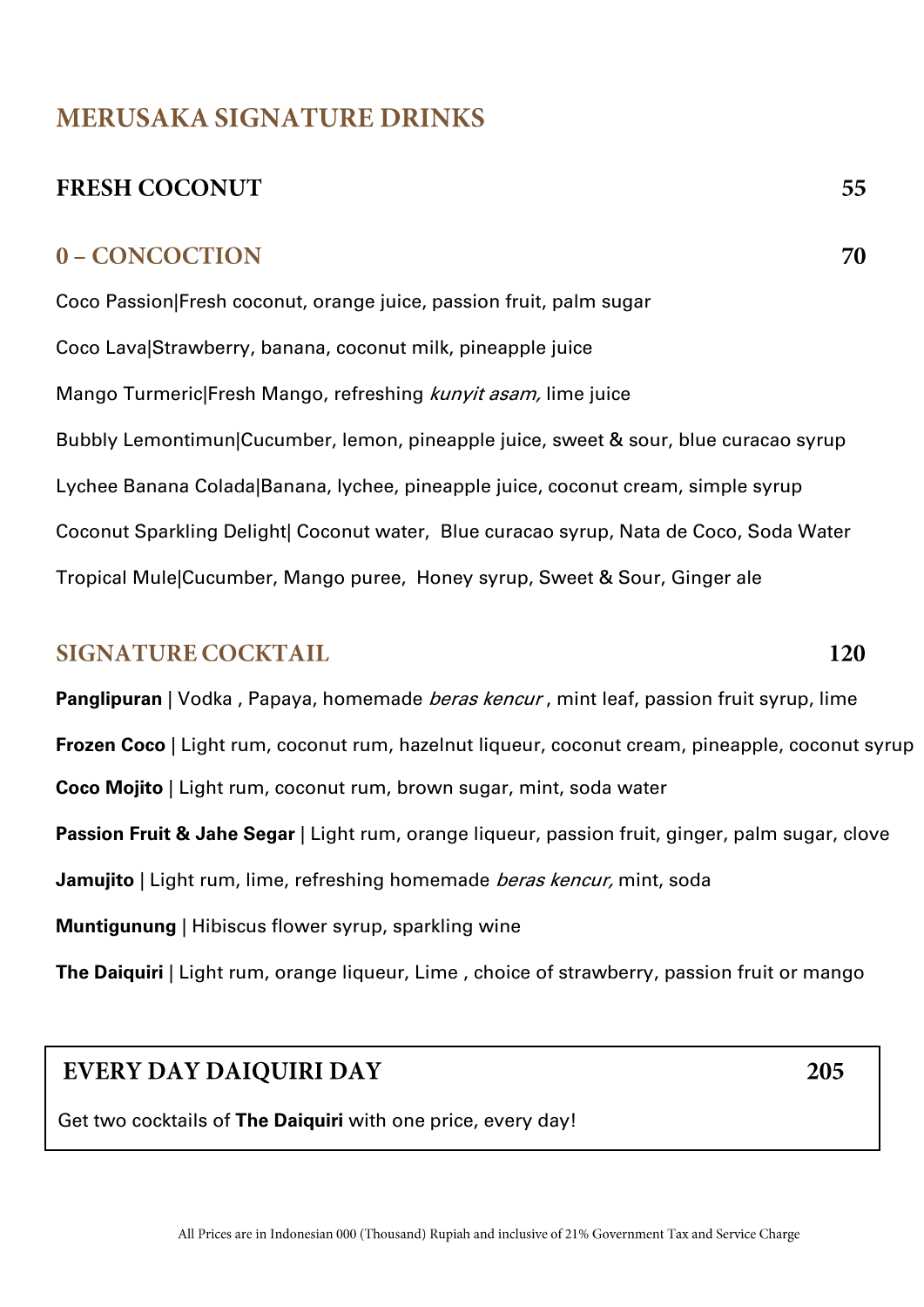# **MERUSAKA SIGNATURE DRINKS**

# **FRESH COCONUT**

#### 0 - CONCOCTION

Coco Passion|Fresh coconut, orange juice, passion fruit, palm sugar Coco Lava|Strawberry, banana, coconut milk, pineapple juice Mango Turmeric|Fresh Mango, refreshing kunyit asam, lime juice Bubbly Lemontimun|Cucumber, lemon, pineapple juice, sweet & sour, blue curacao syrup Lychee Banana Colada|Banana, lychee, pineapple juice, coconut cream, simple syrup Coconut Sparkling Delight| Coconut water, Blue curacao syrup, Nata de Coco, Soda Water Tropical Mule|Cucumber, Mango puree, Honey syrup, Sweet & Sour, Ginger ale

#### **SIGNATURE COCKTAIL**

**Panglipuran** | Vodka, Papaya, homemade *beras kencur*, mint leaf, passion fruit syrup, lime

**[Frozen](http://imbibemagazine.com/Recipe-Pina-Colada) Coco** | Light rum, coconut rum, hazelnut liqueur, coconut cream, pineapple, coconut syrup

**Coco Mojito** | Light rum, coconut rum, brown sugar, mint, soda water

**Passion Fruit & Jahe Segar** | Light rum, orange liqueur, passion fruit, ginger, palm sugar, clove

**Jamujito** | Light rum, lime, refreshing homemade *beras kencur*, mint, soda

**Muntigunung** | Hibiscus flower syrup, sparkling wine

**The Daiquiri** | Light rum, orange liqueur, Lime , choice of strawberry, passion fruit or mango

#### **EVERY DAY DAIQUIRI DAY**

Get two cocktails of **The Daiquiri** with one price, every day!

205

120

55

70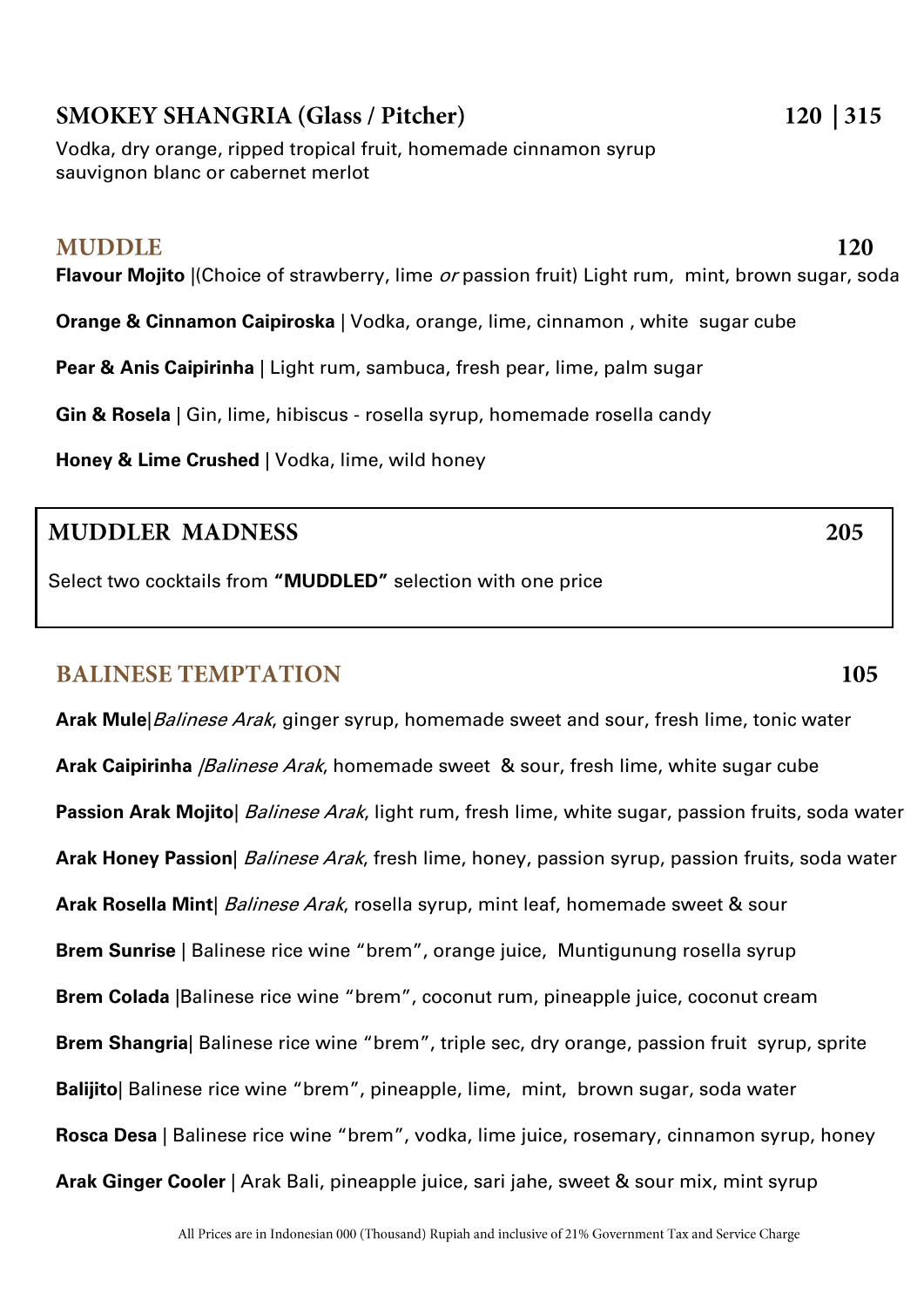#### All Prices are in Indonesian 000 (Thousand) Rupiah and inclusive of 21% Government Tax and Service Charge

#### **SMOKEY SHANGRIA (Glass / Pitcher)**

Vodka, dry orange, ripped tropical fruit, homemade cinnamon syrup sauvignon blanc or cabernet merlot

#### **MUDDLE**

**Flavour Mojito** |(Choice of strawberry, lime or passion fruit) Light rum, mint, brown sugar, soda

**Orange & Cinnamon Caipiroska** | Vodka, orange, lime, cinnamon, white sugar cube

**Pear & Anis Caipirinha** | Light rum, sambuca, fresh pear, lime, palm sugar

**Gin & Rosela** | Gin, lime, hibiscus - rosella syrup, homemade rosella candy

**Honey & Lime Crushed** | Vodka, lime, wild honey

#### **MUDDLER MADNESS**

Select two cocktails from **"MUDDLED"** selection with one price

#### **BALINESE TEMPTATION**

**Arak Mule**|Balinese Arak, ginger syrup, homemade sweet and sour, fresh lime, tonic water **Arak Caipirinha** *|Balinese Arak*, homemade sweet & sour, fresh lime, white sugar cube **Passion Arak Mojito** | Balinese Arak, light rum, fresh lime, white sugar, passion fruits, soda water **Arak Honey Passion**| Balinese Arak, fresh lime, honey, passion syrup, passion fruits, soda water Arak Rosella Mint | Balinese Arak, rosella syrup, mint leaf, homemade sweet & sour **Brem Sunrise** | Balinese rice wine "brem", orange juice, Muntigunung rosella syrup **Brem Colada** |Balinese rice wine "brem", coconut rum, pineapple juice, coconut cream **Brem Shangria**| Balinese rice wine "brem", triple sec, dry orange, passion fruit syrup, sprite **Balijito**| Balinese rice wine "brem", pineapple, lime, mint, brown sugar, soda water **Rosca Desa** | Balinese rice wine "brem", vodka, lime juice, rosemary, cinnamon syrup, honey **Arak Ginger Cooler** | Arak Bali, pineapple juice, sari jahe, sweet & sour mix, mint syrup

120

105

205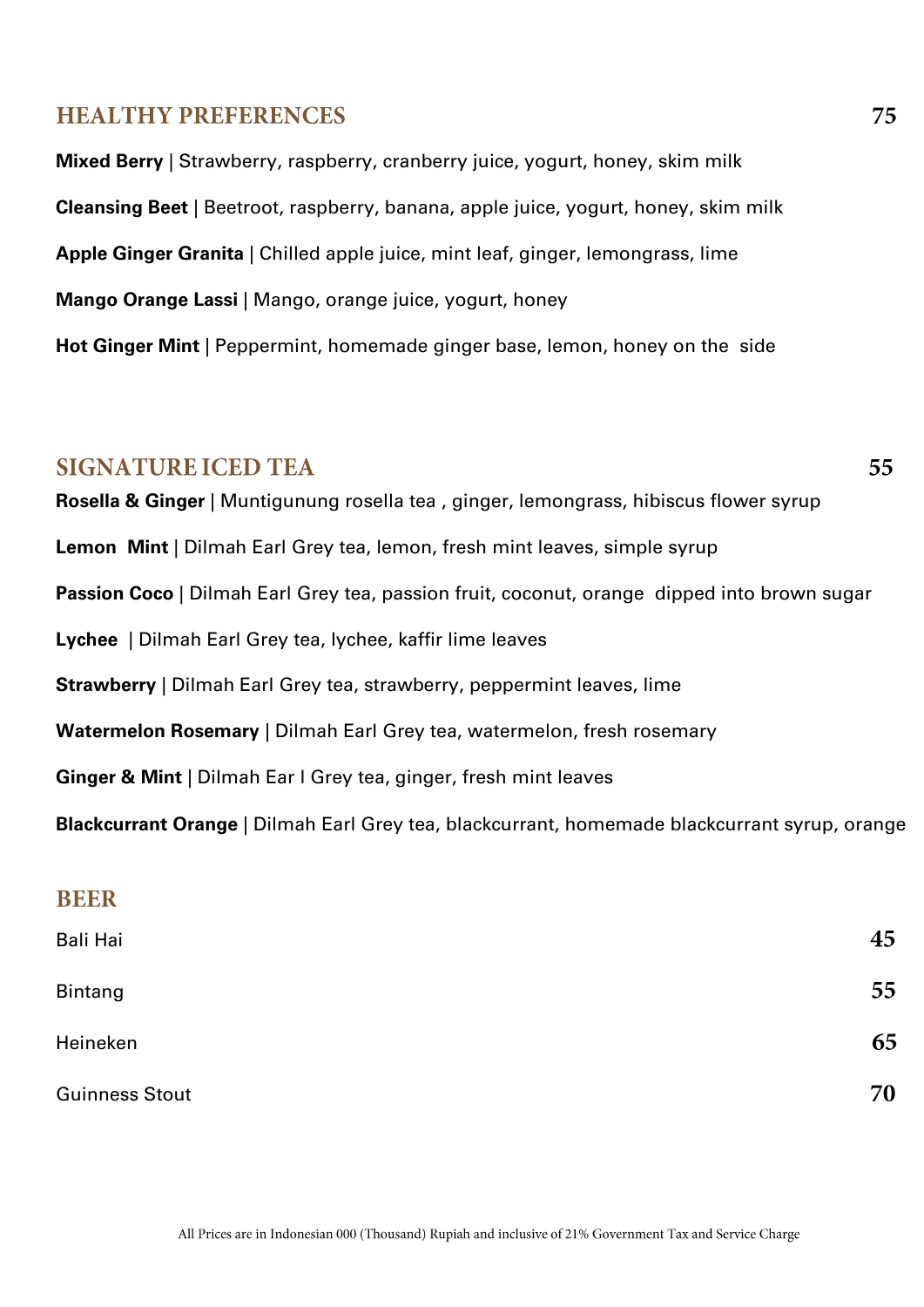#### **HEALTHY PREFERENCES**

**Mixed Berry** | Strawberry, raspberry, cranberry juice, yogurt, honey, skim milk **Cleansing Beet** | Beetroot, raspberry, banana, apple juice, yogurt, honey, skim milk **Apple Ginger Granita** | Chilled apple juice, mint leaf, ginger, lemongrass, lime **Mango Orange Lassi** | Mango, orange juice, yogurt, honey **Hot Ginger Mint** | Peppermint, homemade ginger base, lemon, honey on the side

#### **SIGNATURE ICED TEA**

55

**Rosella & Ginger** | Muntigunung rosella tea , ginger, lemongrass, hibiscus flower syrup **Lemon Mint** | Dilmah Earl Grey tea, lemon, fresh mint leaves, simple syrup **Passion Coco** | Dilmah Earl Grey tea, passion fruit, coconut, orange dipped into brown sugar **Lychee** | Dilmah Earl Grey tea, lychee, kaffir lime leaves **Strawberry** | Dilmah Earl Grey tea, strawberry, peppermint leaves, lime **Watermelon Rosemary** | Dilmah Earl Grey tea, watermelon, fresh rosemary **Ginger & Mint** | Dilmah Ear l Grey tea, ginger, fresh mint leaves **Blackcurrant Orange** | Dilmah Earl Grey tea, blackcurrant, homemade blackcurrant syrup, orange

| <b>BEER</b>           |    |
|-----------------------|----|
| Bali Hai              | 45 |
| <b>Bintang</b>        | 55 |
| Heineken              | 65 |
| <b>Guinness Stout</b> | 70 |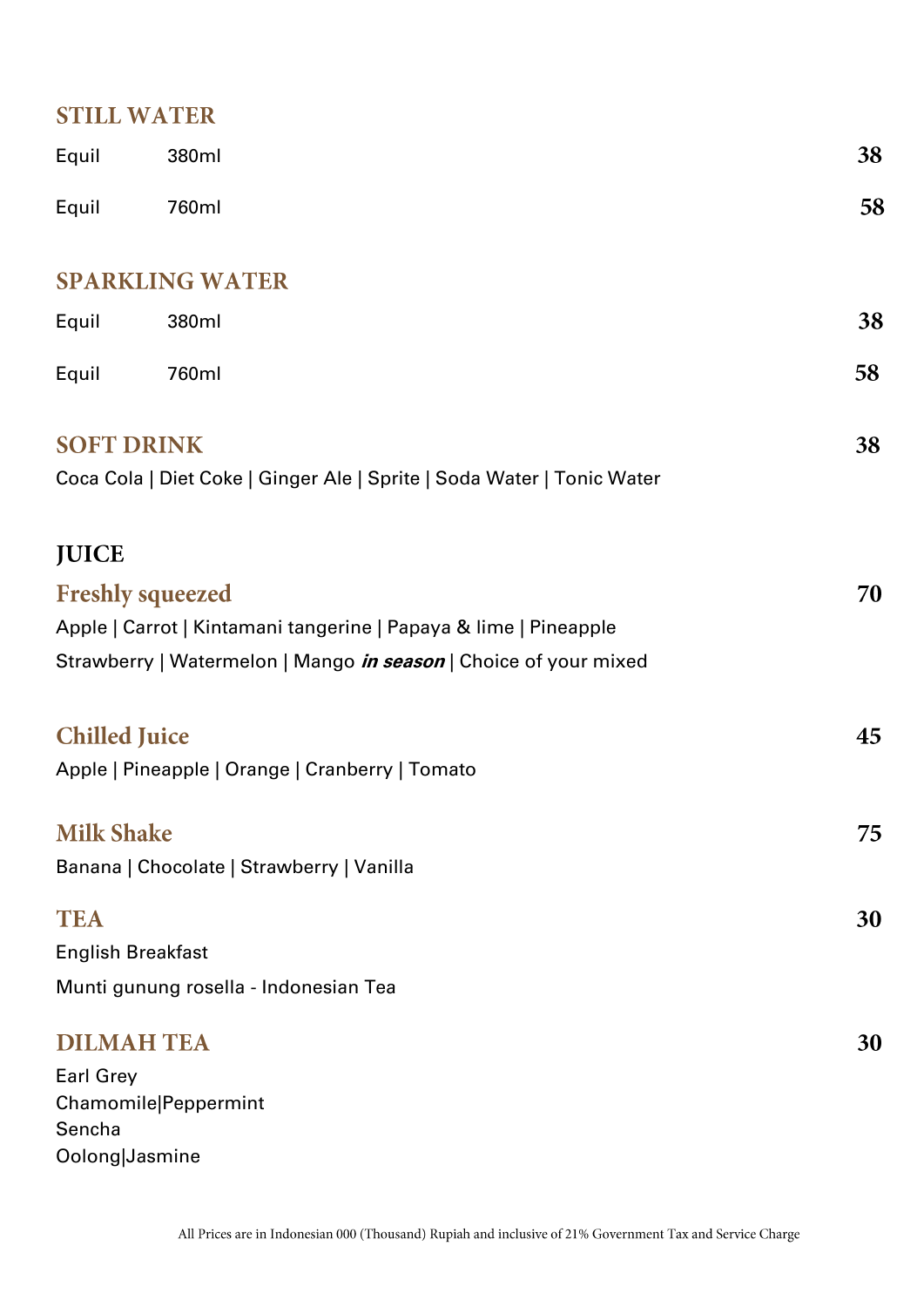# **STILL WATER**

| Equil                | 380ml                                                                   | 38 |
|----------------------|-------------------------------------------------------------------------|----|
| Equil                | 760ml                                                                   | 58 |
|                      | <b>SPARKLING WATER</b>                                                  |    |
| Equil                | 380ml                                                                   | 38 |
| Equil                | 760ml                                                                   | 58 |
|                      | <b>SOFT DRINK</b>                                                       | 38 |
|                      | Coca Cola   Diet Coke   Ginger Ale   Sprite   Soda Water   Tonic Water  |    |
| <b>JUICE</b>         |                                                                         |    |
|                      | <b>Freshly squeezed</b>                                                 | 70 |
|                      | Apple   Carrot   Kintamani tangerine   Papaya & lime   Pineapple        |    |
|                      | Strawberry   Watermelon   Mango <i>in season</i>   Choice of your mixed |    |
| <b>Chilled Juice</b> |                                                                         | 45 |
|                      | Apple   Pineapple   Orange   Cranberry   Tomato                         |    |
| <b>Milk Shake</b>    |                                                                         | 75 |
|                      | Banana   Chocolate   Strawberry   Vanilla                               |    |
| <b>TEA</b>           |                                                                         | 30 |
|                      | <b>English Breakfast</b>                                                |    |
|                      | Munti gunung rosella - Indonesian Tea                                   |    |
|                      | <b>DILMAH TEA</b>                                                       | 30 |
| <b>Earl Grey</b>     |                                                                         |    |
|                      | Chamomile Peppermint                                                    |    |
| Sencha               |                                                                         |    |

Oolong|Jasmine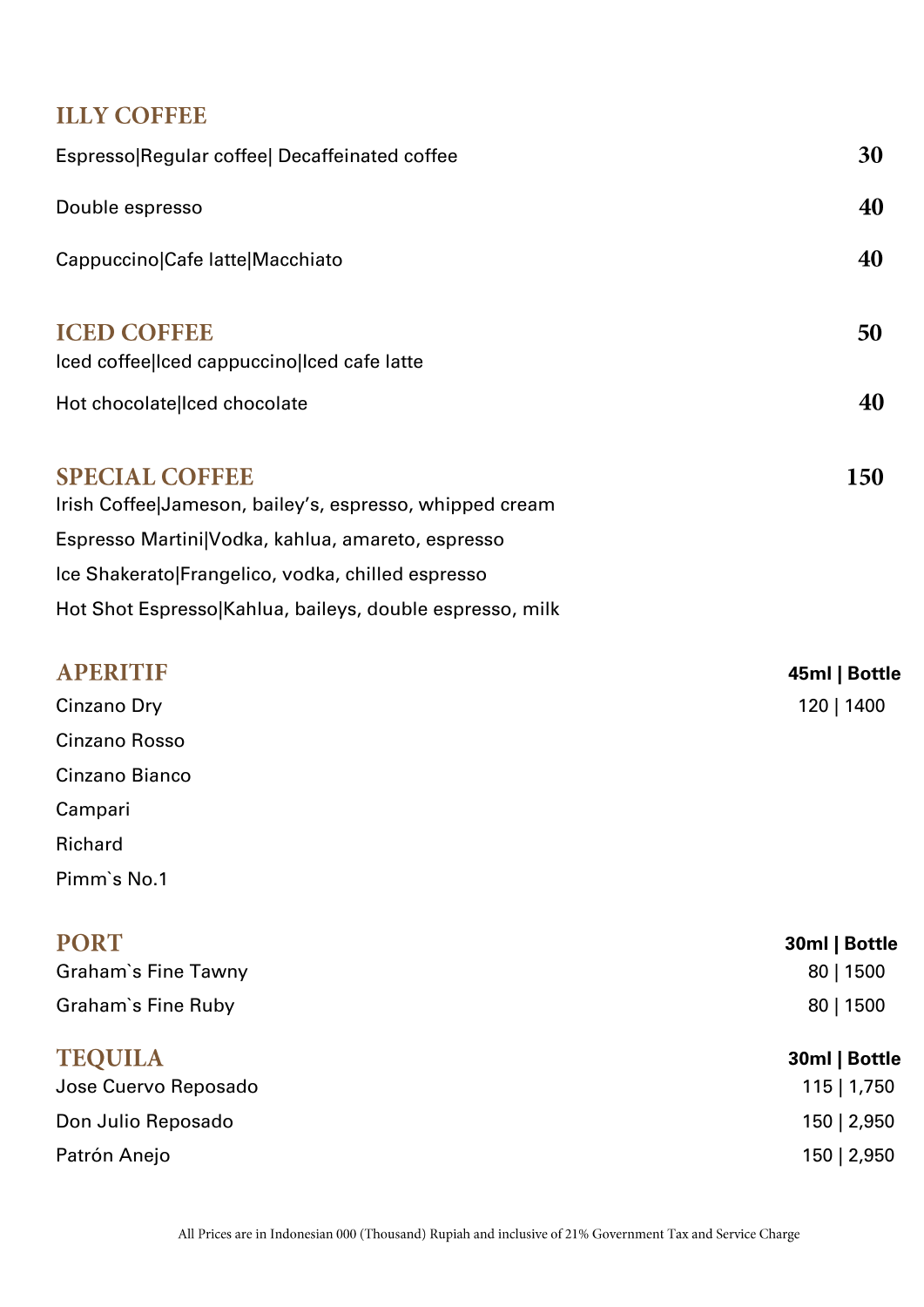# **ILLY COFFEE**

| Espresso Regular coffee  Decaffeinated coffee                                    | 30            |
|----------------------------------------------------------------------------------|---------------|
| Double espresso                                                                  | 40            |
| Cappuccino Cafe latte Macchiato                                                  | 40            |
| <b>ICED COFFEE</b><br>Iced coffee Iced cappuccino Iced cafe latte                | 50            |
| Hot chocolate lced chocolate                                                     | 40            |
| <b>SPECIAL COFFEE</b><br>Irish Coffee Jameson, bailey's, espresso, whipped cream | <b>150</b>    |
| Espresso Martini Vodka, kahlua, amareto, espresso                                |               |
| Ice Shakerato Frangelico, vodka, chilled espresso                                |               |
| Hot Shot Espresso Kahlua, baileys, double espresso, milk                         |               |
| <b>APERITIF</b>                                                                  | 45ml   Bottle |
| Cinzano Dry                                                                      | 120   1400    |
| Cinzano Rosso                                                                    |               |
| Cinzano Bianco                                                                   |               |
| Campari                                                                          |               |
| Richard                                                                          |               |
| Pimm's No.1                                                                      |               |
| <b>PORT</b>                                                                      | 30ml   Bottle |
| Graham's Fine Tawny                                                              | 80   1500     |
| Graham's Fine Ruby                                                               | 80   1500     |
| <b>TEQUILA</b>                                                                   | 30ml   Bottle |
| Jose Cuervo Reposado                                                             | 115   1,750   |

| Don Julio Reposado | 150   2,950 |
|--------------------|-------------|
| ______             | .           |

Patrón Anejo 150 | 2,950 | 2,950 | 2,950 | 2,950 | 2,950 | 2,950 | 2,950 | 2,950 | 2,950 | 2,950 | 2,950 | 2,950 | 2,950 | 2,950 | 2,950 | 2,950 | 2,950 | 2,950 | 2,950 | 2,950 | 2,950 | 2,950 | 2,950 | 2,950 | 2,950 | 2,9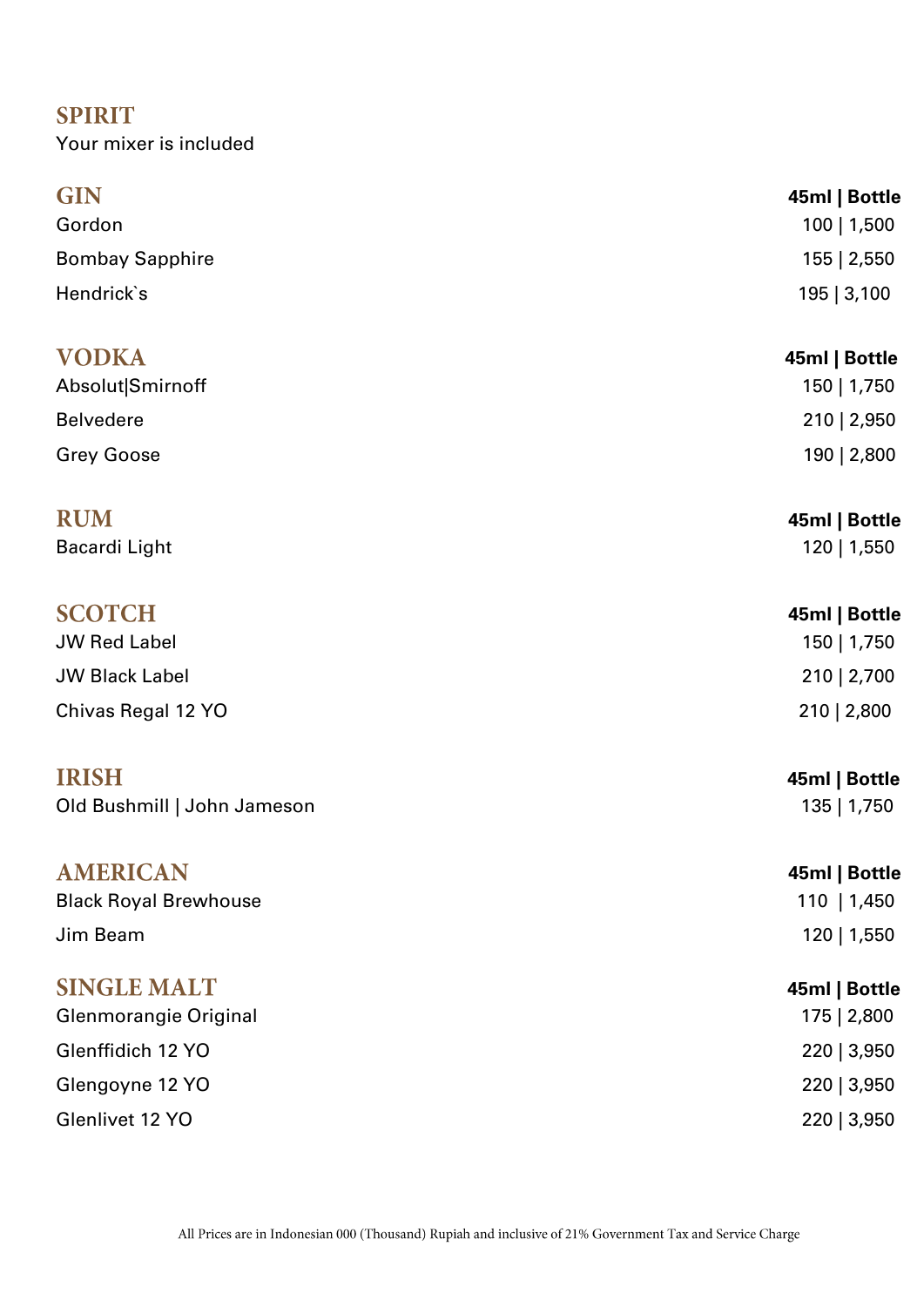# **SPIRIT**

Your mixer is included

| <b>GIN</b><br>Gordon                        | 45ml   Bottle<br>100   1,500 |
|---------------------------------------------|------------------------------|
| <b>Bombay Sapphire</b>                      | 155   2,550                  |
| Hendrick's                                  | 195   3,100                  |
| <b>VODKA</b>                                | 45ml   Bottle                |
| Absolut Smirnoff<br><b>Belvedere</b>        | 150   1,750                  |
| <b>Grey Goose</b>                           | 210   2,950<br>190   2,800   |
| <b>RUM</b><br><b>Bacardi Light</b>          | 45ml   Bottle<br>120   1,550 |
| <b>SCOTCH</b>                               | 45ml   Bottle                |
| <b>JW Red Label</b>                         | 150   1,750                  |
| <b>JW Black Label</b>                       | 210   2,700                  |
| Chivas Regal 12 YO                          | 210   2,800                  |
| <b>IRISH</b><br>Old Bushmill   John Jameson | 45ml   Bottle<br>135   1,750 |
|                                             |                              |
| <b>AMERICAN</b>                             | 45ml   Bottle                |
| <b>Black Royal Brewhouse</b>                | $110 \mid 1,450$             |
| Jim Beam                                    | 120   1,550                  |
| <b>SINGLE MALT</b>                          | 45ml   Bottle                |
| Glenmorangie Original                       | 175   2,800                  |
| Glenffidich 12 YO                           | 220   3,950                  |
| Glengoyne 12 YO                             | 220   3,950                  |
| Glenlivet 12 YO                             | 220   3,950                  |